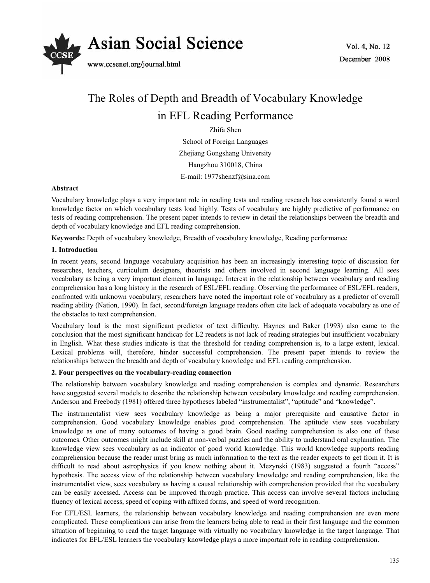

# The Roles of Depth and Breadth of Vocabulary Knowledge in EFL Reading Performance

Zhifa Shen School of Foreign Languages Zhejiang Gongshang University Hangzhou 310018, China E-mail: 1977shenzf@sina.com

## **Abstract**

Vocabulary knowledge plays a very important role in reading tests and reading research has consistently found a word knowledge factor on which vocabulary tests load highly. Tests of vocabulary are highly predictive of performance on tests of reading comprehension. The present paper intends to review in detail the relationships between the breadth and depth of vocabulary knowledge and EFL reading comprehension.

**Keywords:** Depth of vocabulary knowledge, Breadth of vocabulary knowledge, Reading performance

# **1. Introduction**

In recent years, second language vocabulary acquisition has been an increasingly interesting topic of discussion for researches, teachers, curriculum designers, theorists and others involved in second language learning. All sees vocabulary as being a very important element in language. Interest in the relationship between vocabulary and reading comprehension has a long history in the research of ESL/EFL reading. Observing the performance of ESL/EFL readers, confronted with unknown vocabulary, researchers have noted the important role of vocabulary as a predictor of overall reading ability (Nation, 1990). In fact, second/foreign language readers often cite lack of adequate vocabulary as one of the obstacles to text comprehension.

Vocabulary load is the most significant predictor of text difficulty. Haynes and Baker (1993) also came to the conclusion that the most significant handicap for L2 readers is not lack of reading strategies but insufficient vocabulary in English. What these studies indicate is that the threshold for reading comprehension is, to a large extent, lexical. Lexical problems will, therefore, hinder successful comprehension. The present paper intends to review the relationships between the breadth and depth of vocabulary knowledge and EFL reading comprehension.

## **2. Four perspectives on the vocabulary-reading connection**

The relationship between vocabulary knowledge and reading comprehension is complex and dynamic. Researchers have suggested several models to describe the relationship between vocabulary knowledge and reading comprehension. Anderson and Freebody (1981) offered three hypotheses labeled "instrumentalist", "aptitude" and "knowledge".

The instrumentalist view sees vocabulary knowledge as being a major prerequisite and causative factor in comprehension. Good vocabulary knowledge enables good comprehension. The aptitude view sees vocabulary knowledge as one of many outcomes of having a good brain. Good reading comprehension is also one of these outcomes. Other outcomes might include skill at non-verbal puzzles and the ability to understand oral explanation. The knowledge view sees vocabulary as an indicator of good world knowledge. This world knowledge supports reading comprehension because the reader must bring as much information to the text as the reader expects to get from it. It is difficult to read about astrophysics if you know nothing about it. Mezynski (1983) suggested a fourth "access" hypothesis. The access view of the relationship between vocabulary knowledge and reading comprehension, like the instrumentalist view, sees vocabulary as having a causal relationship with comprehension provided that the vocabulary can be easily accessed. Access can be improved through practice. This access can involve several factors including fluency of lexical access, speed of coping with affixed forms, and speed of word recognition.

For EFL/ESL learners, the relationship between vocabulary knowledge and reading comprehension are even more complicated. These complications can arise from the learners being able to read in their first language and the common situation of beginning to read the target language with virtually no vocabulary knowledge in the target language. That indicates for EFL/ESL learners the vocabulary knowledge plays a more important role in reading comprehension.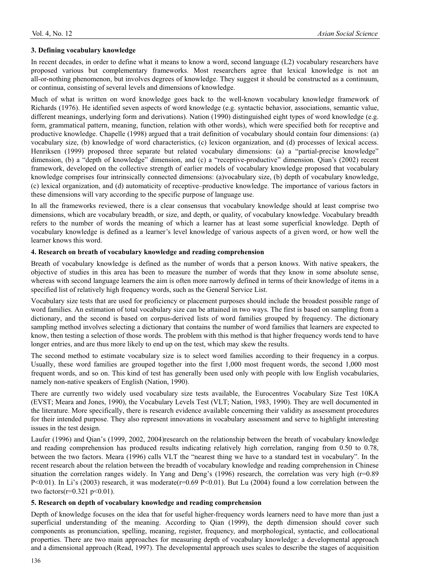# **3. Defining vocabulary knowledge**

In recent decades, in order to define what it means to know a word, second language (L2) vocabulary researchers have proposed various but complementary frameworks. Most researchers agree that lexical knowledge is not an all-or-nothing phenomenon, but involves degrees of knowledge. They suggest it should be constructed as a continuum, or continua, consisting of several levels and dimensions of knowledge.

Much of what is written on word knowledge goes back to the well-known vocabulary knowledge framework of Richards (1976). He identified seven aspects of word knowledge (e.g. syntactic behavior, associations, semantic value, different meanings, underlying form and derivations). Nation (1990) distinguished eight types of word knowledge (e.g. form, grammatical pattern, meaning, function, relation with other words), which were specified both for receptive and productive knowledge. Chapelle (1998) argued that a trait definition of vocabulary should contain four dimensions: (a) vocabulary size, (b) knowledge of word characteristics, (c) lexicon organization, and (d) processes of lexical access. Henriksen (1999) proposed three separate but related vocabulary dimensions: (a) a "partial-precise knowledge" dimension, (b) a "depth of knowledge" dimension, and (c) a "receptive-productive" dimension. Qian's (2002) recent framework, developed on the collective strength of earlier models of vocabulary knowledge proposed that vocabulary knowledge comprises four intrinsically connected dimensions: (a)vocabulary size, (b) depth of vocabulary knowledge, (c) lexical organization, and (d) automaticity of receptive–productive knowledge. The importance of various factors in these dimensions will vary according to the specific purpose of language use.

In all the frameworks reviewed, there is a clear consensus that vocabulary knowledge should at least comprise two dimensions, which are vocabulary breadth, or size, and depth, or quality, of vocabulary knowledge. Vocabulary breadth refers to the number of words the meaning of which a learner has at least some superficial knowledge. Depth of vocabulary knowledge is defined as a learner's level knowledge of various aspects of a given word, or how well the learner knows this word.

# **4. Research on breath of vocabulary knowledge and reading comprehension**

Breath of vocabulary knowledge is defined as the number of words that a person knows. With native speakers, the objective of studies in this area has been to measure the number of words that they know in some absolute sense, whereas with second language learners the aim is often more narrowly defined in terms of their knowledge of items in a specified list of relatively high frequency words, such as the General Service List.

Vocabulary size tests that are used for proficiency or placement purposes should include the broadest possible range of word families. An estimation of total vocabulary size can be attained in two ways. The first is based on sampling from a dictionary, and the second is based on corpus-derived lists of word families grouped by frequency. The dictionary sampling method involves selecting a dictionary that contains the number of word families that learners are expected to know, then testing a selection of those words. The problem with this method is that higher frequency words tend to have longer entries, and are thus more likely to end up on the test, which may skew the results.

The second method to estimate vocabulary size is to select word families according to their frequency in a corpus. Usually, these word families are grouped together into the first 1,000 most frequent words, the second 1,000 most frequent words, and so on. This kind of test has generally been used only with people with low English vocabularies, namely non-native speakers of English (Nation, 1990).

There are currently two widely used vocabulary size tests available, the Eurocentres Vocabulary Size Test 10KA (EVST; Meara and Jones, 1990), the Vocabulary Levels Test (VLT; Nation, 1983, 1990). They are well documented in the literature. More specifically, there is research evidence available concerning their validity as assessment procedures for their intended purpose. They also represent innovations in vocabulary assessment and serve to highlight interesting issues in the test design.

Laufer (1996) and Qian's (1999, 2002, 2004)research on the relationship between the breath of vocabulary knowledge and reading comprehension has produced results indicating relatively high correlation, ranging from 0.50 to 0.78, between the two factors. Meara (1996) calls VLT the "nearest thing we have to a standard test in vocabulary". In the recent research about the relation between the breadth of vocabulary knowledge and reading comprehension in Chinese situation the correlation ranges widely. In Yang and Deng's (1996) research, the correlation was very high (r=0.89 P<0.01). In Li's (2003) research, it was moderate(r=0.69 P<0.01). But Lu (2004) found a low correlation between the two factors( $r=0.321$  p<0.01).

## **5. Research on depth of vocabulary knowledge and reading comprehension**

Depth of knowledge focuses on the idea that for useful higher-frequency words learners need to have more than just a superficial understanding of the meaning. According to Qian (1999), the depth dimension should cover such components as pronunciation, spelling, meaning, register, frequency, and morphological, syntactic, and collocational properties. There are two main approaches for measuring depth of vocabulary knowledge: a developmental approach and a dimensional approach (Read, 1997). The developmental approach uses scales to describe the stages of acquisition